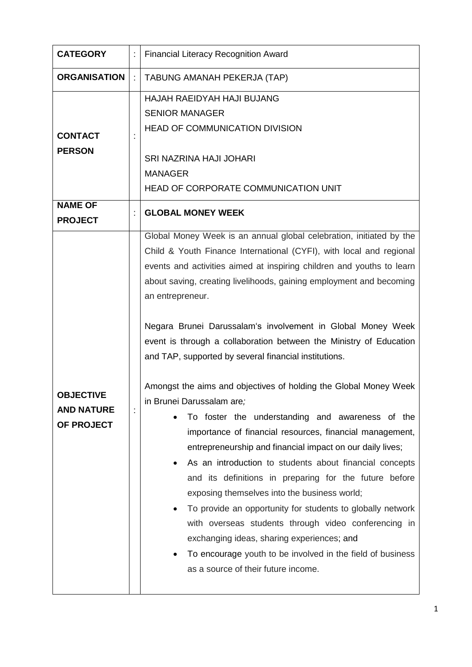| <b>CATEGORY</b>                                     | ÷ | <b>Financial Literacy Recognition Award</b>                                                                                                                                                                                                                                                                                                                                                                                                                                                                                                                                                                                                                                                                                                                                                                                                                                                                                                                                                                                                                                                                                                                                                                                              |
|-----------------------------------------------------|---|------------------------------------------------------------------------------------------------------------------------------------------------------------------------------------------------------------------------------------------------------------------------------------------------------------------------------------------------------------------------------------------------------------------------------------------------------------------------------------------------------------------------------------------------------------------------------------------------------------------------------------------------------------------------------------------------------------------------------------------------------------------------------------------------------------------------------------------------------------------------------------------------------------------------------------------------------------------------------------------------------------------------------------------------------------------------------------------------------------------------------------------------------------------------------------------------------------------------------------------|
| <b>ORGANISATION</b>                                 |   | TABUNG AMANAH PEKERJA (TAP)                                                                                                                                                                                                                                                                                                                                                                                                                                                                                                                                                                                                                                                                                                                                                                                                                                                                                                                                                                                                                                                                                                                                                                                                              |
| <b>CONTACT</b><br><b>PERSON</b>                     |   | HAJAH RAEIDYAH HAJI BUJANG<br><b>SENIOR MANAGER</b><br><b>HEAD OF COMMUNICATION DIVISION</b><br><b>SRI NAZRINA HAJI JOHARI</b><br><b>MANAGER</b><br>HEAD OF CORPORATE COMMUNICATION UNIT                                                                                                                                                                                                                                                                                                                                                                                                                                                                                                                                                                                                                                                                                                                                                                                                                                                                                                                                                                                                                                                 |
| <b>NAME OF</b><br><b>PROJECT</b>                    |   | <b>GLOBAL MONEY WEEK</b>                                                                                                                                                                                                                                                                                                                                                                                                                                                                                                                                                                                                                                                                                                                                                                                                                                                                                                                                                                                                                                                                                                                                                                                                                 |
| <b>OBJECTIVE</b><br><b>AND NATURE</b><br>OF PROJECT | t | Global Money Week is an annual global celebration, initiated by the<br>Child & Youth Finance International (CYFI), with local and regional<br>events and activities aimed at inspiring children and youths to learn<br>about saving, creating livelihoods, gaining employment and becoming<br>an entrepreneur.<br>Negara Brunei Darussalam's involvement in Global Money Week<br>event is through a collaboration between the Ministry of Education<br>and TAP, supported by several financial institutions.<br>Amongst the aims and objectives of holding the Global Money Week<br>in Brunei Darussalam are;<br>To foster the understanding and awareness of the<br>importance of financial resources, financial management,<br>entrepreneurship and financial impact on our daily lives;<br>As an introduction to students about financial concepts<br>and its definitions in preparing for the future before<br>exposing themselves into the business world;<br>To provide an opportunity for students to globally network<br>with overseas students through video conferencing in<br>exchanging ideas, sharing experiences; and<br>To encourage youth to be involved in the field of business<br>as a source of their future income. |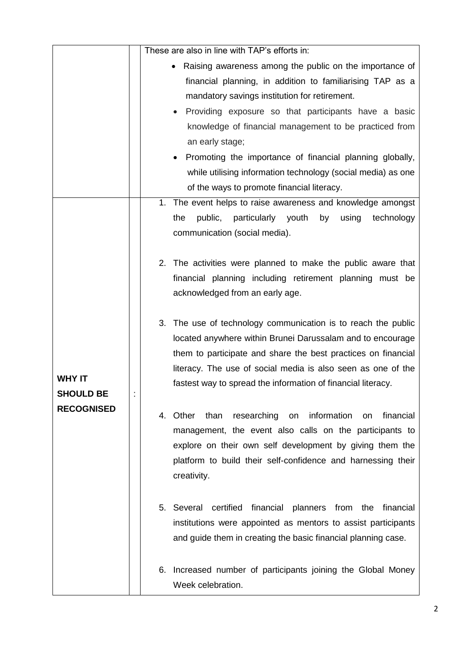|                                                        |  | These are also in line with TAP's efforts in:                                                                                                                                                                                                                                                                                                                                                                                                                                                     |
|--------------------------------------------------------|--|---------------------------------------------------------------------------------------------------------------------------------------------------------------------------------------------------------------------------------------------------------------------------------------------------------------------------------------------------------------------------------------------------------------------------------------------------------------------------------------------------|
|                                                        |  | Raising awareness among the public on the importance of<br>$\bullet$<br>financial planning, in addition to familiarising TAP as a<br>mandatory savings institution for retirement.<br>Providing exposure so that participants have a basic<br>knowledge of financial management to be practiced from<br>an early stage;<br>Promoting the importance of financial planning globally,<br>while utilising information technology (social media) as one<br>of the ways to promote financial literacy. |
| <b>WHY IT</b><br><b>SHOULD BE</b><br><b>RECOGNISED</b> |  | 1. The event helps to raise awareness and knowledge amongst<br>public,<br>particularly youth<br>by<br>using<br>technology<br>the<br>communication (social media).                                                                                                                                                                                                                                                                                                                                 |
|                                                        |  | The activities were planned to make the public aware that<br>2.<br>financial planning including retirement planning must be<br>acknowledged from an early age.                                                                                                                                                                                                                                                                                                                                    |
|                                                        |  | 3.<br>The use of technology communication is to reach the public<br>located anywhere within Brunei Darussalam and to encourage<br>them to participate and share the best practices on financial<br>literacy. The use of social media is also seen as one of the<br>fastest way to spread the information of financial literacy.                                                                                                                                                                   |
|                                                        |  | than<br>researching<br>information<br>financial<br>Other<br>on<br>4.<br>on<br>management, the event also calls on the participants to<br>explore on their own self development by giving them the<br>platform to build their self-confidence and harnessing their<br>creativity.                                                                                                                                                                                                                  |
|                                                        |  | Several<br>certified financial<br>planners from the financial<br>5.<br>institutions were appointed as mentors to assist participants<br>and guide them in creating the basic financial planning case.                                                                                                                                                                                                                                                                                             |
|                                                        |  | Increased number of participants joining the Global Money<br>6.<br>Week celebration.                                                                                                                                                                                                                                                                                                                                                                                                              |